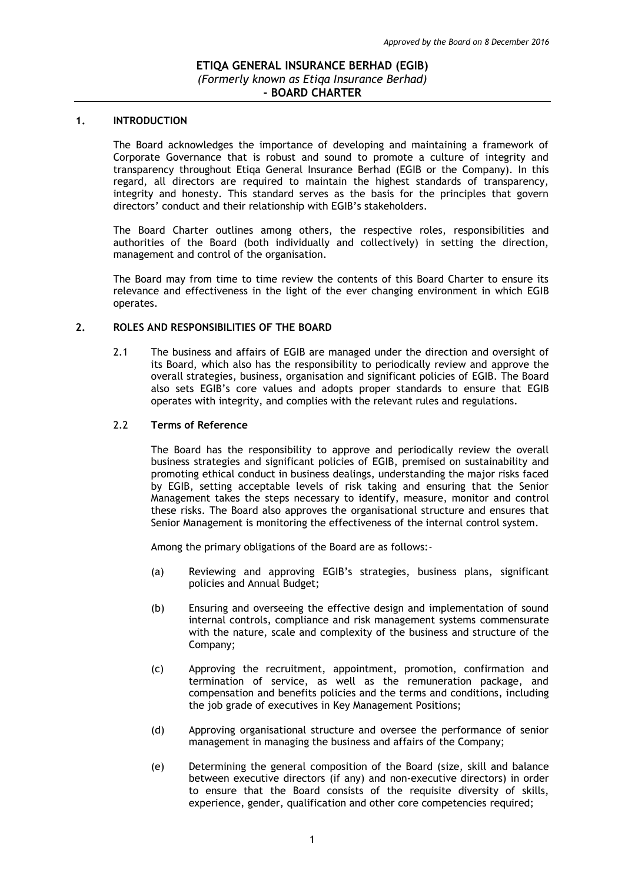#### **1. INTRODUCTION**

The Board acknowledges the importance of developing and maintaining a framework of Corporate Governance that is robust and sound to promote a culture of integrity and transparency throughout Etiqa General Insurance Berhad (EGIB or the Company). In this regard, all directors are required to maintain the highest standards of transparency, integrity and honesty. This standard serves as the basis for the principles that govern directors' conduct and their relationship with EGIB's stakeholders.

The Board Charter outlines among others, the respective roles, responsibilities and authorities of the Board (both individually and collectively) in setting the direction, management and control of the organisation.

The Board may from time to time review the contents of this Board Charter to ensure its relevance and effectiveness in the light of the ever changing environment in which EGIB operates.

#### **2. ROLES AND RESPONSIBILITIES OF THE BOARD**

2.1 The business and affairs of EGIB are managed under the direction and oversight of its Board, which also has the responsibility to periodically review and approve the overall strategies, business, organisation and significant policies of EGIB. The Board also sets EGIB's core values and adopts proper standards to ensure that EGIB operates with integrity, and complies with the relevant rules and regulations.

#### 2.2 **Terms of Reference**

The Board has the responsibility to approve and periodically review the overall business strategies and significant policies of EGIB, premised on sustainability and promoting ethical conduct in business dealings, understanding the major risks faced by EGIB, setting acceptable levels of risk taking and ensuring that the Senior Management takes the steps necessary to identify, measure, monitor and control these risks. The Board also approves the organisational structure and ensures that Senior Management is monitoring the effectiveness of the internal control system.

Among the primary obligations of the Board are as follows:-

- (a) Reviewing and approving EGIB's strategies, business plans, significant policies and Annual Budget;
- (b) Ensuring and overseeing the effective design and implementation of sound internal controls, compliance and risk management systems commensurate with the nature, scale and complexity of the business and structure of the Company;
- (c) Approving the recruitment, appointment, promotion, confirmation and termination of service, as well as the remuneration package, and compensation and benefits policies and the terms and conditions, including the job grade of executives in Key Management Positions;
- (d) Approving organisational structure and oversee the performance of senior management in managing the business and affairs of the Company;
- (e) Determining the general composition of the Board (size, skill and balance between executive directors (if any) and non-executive directors) in order to ensure that the Board consists of the requisite diversity of skills, experience, gender, qualification and other core competencies required;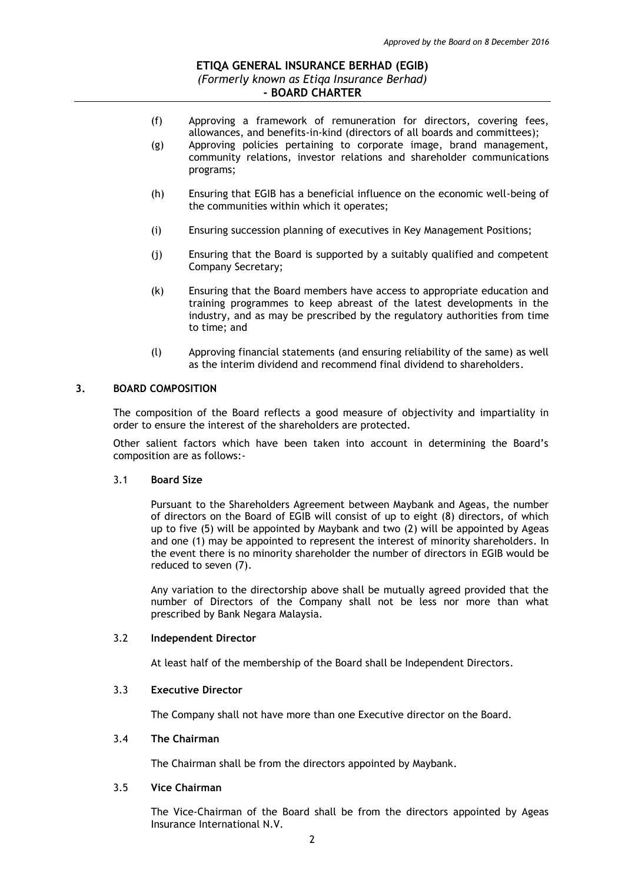- (f) Approving a framework of remuneration for directors, covering fees, allowances, and benefits-in-kind (directors of all boards and committees); (g) Approving policies pertaining to corporate image, brand management,
	- community relations, investor relations and shareholder communications programs;
- (h) Ensuring that EGIB has a beneficial influence on the economic well-being of the communities within which it operates;
- (i) Ensuring succession planning of executives in Key Management Positions;
- (j) Ensuring that the Board is supported by a suitably qualified and competent Company Secretary;
- (k) Ensuring that the Board members have access to appropriate education and training programmes to keep abreast of the latest developments in the industry, and as may be prescribed by the regulatory authorities from time to time; and
- (l) Approving financial statements (and ensuring reliability of the same) as well as the interim dividend and recommend final dividend to shareholders.

### **3. BOARD COMPOSITION**

The composition of the Board reflects a good measure of objectivity and impartiality in order to ensure the interest of the shareholders are protected.

Other salient factors which have been taken into account in determining the Board's composition are as follows:-

#### 3.1 **Board Size**

Pursuant to the Shareholders Agreement between Maybank and Ageas, the number of directors on the Board of EGIB will consist of up to eight (8) directors, of which up to five (5) will be appointed by Maybank and two (2) will be appointed by Ageas and one (1) may be appointed to represent the interest of minority shareholders. In the event there is no minority shareholder the number of directors in EGIB would be reduced to seven (7).

Any variation to the directorship above shall be mutually agreed provided that the number of Directors of the Company shall not be less nor more than what prescribed by Bank Negara Malaysia.

#### 3.2 **Independent Director**

At least half of the membership of the Board shall be Independent Directors.

#### 3.3 **Executive Director**

The Company shall not have more than one Executive director on the Board.

### 3.4 **The Chairman**

The Chairman shall be from the directors appointed by Maybank.

### 3.5 **Vice Chairman**

The Vice-Chairman of the Board shall be from the directors appointed by Ageas Insurance International N.V.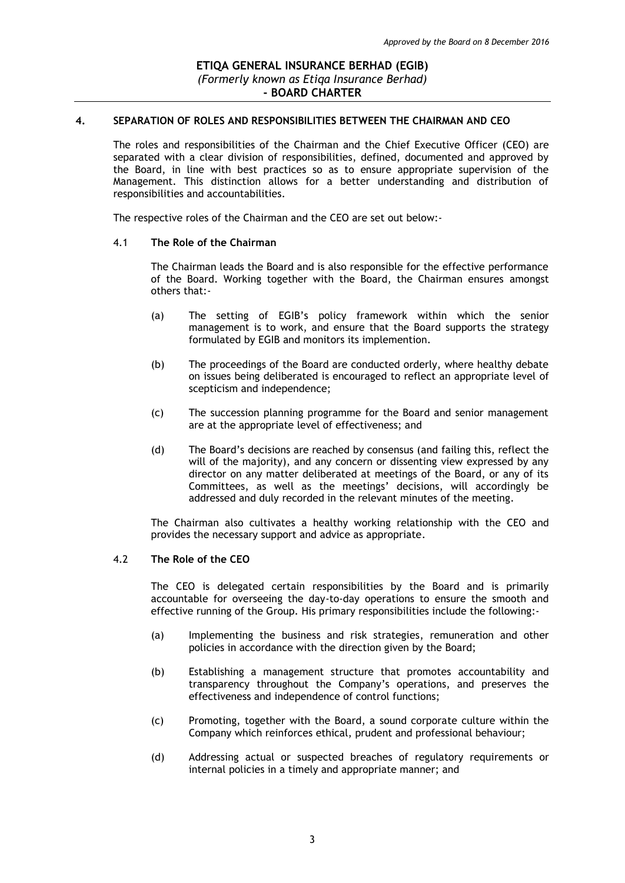### **4. SEPARATION OF ROLES AND RESPONSIBILITIES BETWEEN THE CHAIRMAN AND CEO**

The roles and responsibilities of the Chairman and the Chief Executive Officer (CEO) are separated with a clear division of responsibilities, defined, documented and approved by the Board, in line with best practices so as to ensure appropriate supervision of the Management. This distinction allows for a better understanding and distribution of responsibilities and accountabilities.

The respective roles of the Chairman and the CEO are set out below:-

#### 4.1 **The Role of the Chairman**

The Chairman leads the Board and is also responsible for the effective performance of the Board. Working together with the Board, the Chairman ensures amongst others that:-

- (a) The setting of EGIB's policy framework within which the senior management is to work, and ensure that the Board supports the strategy formulated by EGIB and monitors its implemention.
- (b) The proceedings of the Board are conducted orderly, where healthy debate on issues being deliberated is encouraged to reflect an appropriate level of scepticism and independence;
- (c) The succession planning programme for the Board and senior management are at the appropriate level of effectiveness; and
- (d) The Board's decisions are reached by consensus (and failing this, reflect the will of the majority), and any concern or dissenting view expressed by any director on any matter deliberated at meetings of the Board, or any of its Committees, as well as the meetings' decisions, will accordingly be addressed and duly recorded in the relevant minutes of the meeting.

The Chairman also cultivates a healthy working relationship with the CEO and provides the necessary support and advice as appropriate.

### 4.2 **The Role of the CEO**

The CEO is delegated certain responsibilities by the Board and is primarily accountable for overseeing the day-to-day operations to ensure the smooth and effective running of the Group. His primary responsibilities include the following:-

- (a) Implementing the business and risk strategies, remuneration and other policies in accordance with the direction given by the Board;
- (b) Establishing a management structure that promotes accountability and transparency throughout the Company's operations, and preserves the effectiveness and independence of control functions;
- (c) Promoting, together with the Board, a sound corporate culture within the Company which reinforces ethical, prudent and professional behaviour;
- (d) Addressing actual or suspected breaches of regulatory requirements or internal policies in a timely and appropriate manner; and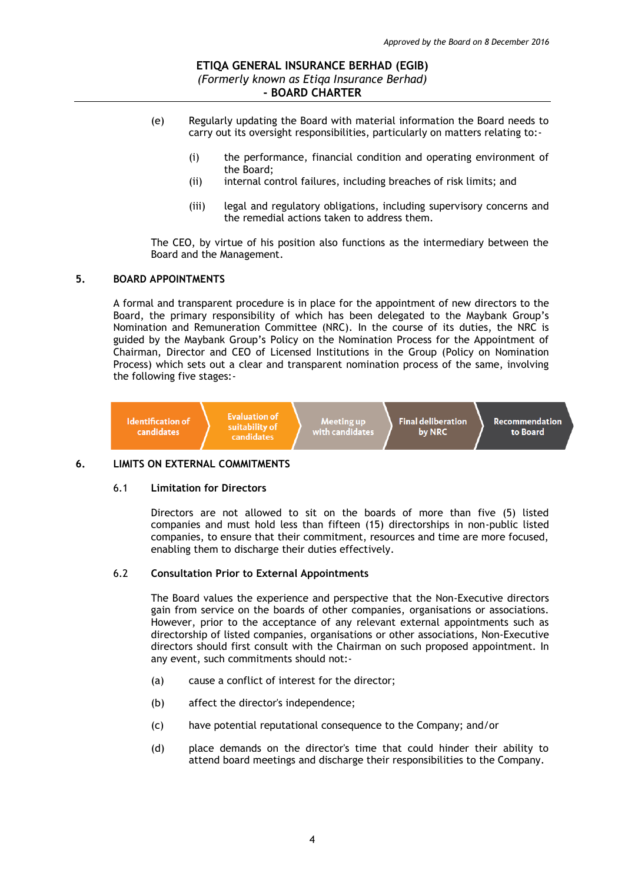- (e) Regularly updating the Board with material information the Board needs to carry out its oversight responsibilities, particularly on matters relating to:-
	- (i) the performance, financial condition and operating environment of the Board;
	- (ii) internal control failures, including breaches of risk limits; and
	- (iii) legal and regulatory obligations, including supervisory concerns and the remedial actions taken to address them.

The CEO, by virtue of his position also functions as the intermediary between the Board and the Management.

#### **5. BOARD APPOINTMENTS**

A formal and transparent procedure is in place for the appointment of new directors to the Board, the primary responsibility of which has been delegated to the Maybank Group's Nomination and Remuneration Committee (NRC). In the course of its duties, the NRC is guided by the Maybank Group's Policy on the Nomination Process for the Appointment of Chairman, Director and CEO of Licensed Institutions in the Group (Policy on Nomination Process) which sets out a clear and transparent nomination process of the same, involving the following five stages:-



### **6. LIMITS ON EXTERNAL COMMITMENTS**

#### 6.1 **Limitation for Directors**

Directors are not allowed to sit on the boards of more than five (5) listed companies and must hold less than fifteen (15) directorships in non-public listed companies, to ensure that their commitment, resources and time are more focused, enabling them to discharge their duties effectively.

#### 6.2 **Consultation Prior to External Appointments**

The Board values the experience and perspective that the Non-Executive directors gain from service on the boards of other companies, organisations or associations. However, prior to the acceptance of any relevant external appointments such as directorship of listed companies, organisations or other associations, Non-Executive directors should first consult with the Chairman on such proposed appointment. In any event, such commitments should not:-

- (a) cause a conflict of interest for the director;
- (b) affect the director's independence;
- (c) have potential reputational consequence to the Company; and/or
- (d) place demands on the director's time that could hinder their ability to attend board meetings and discharge their responsibilities to the Company.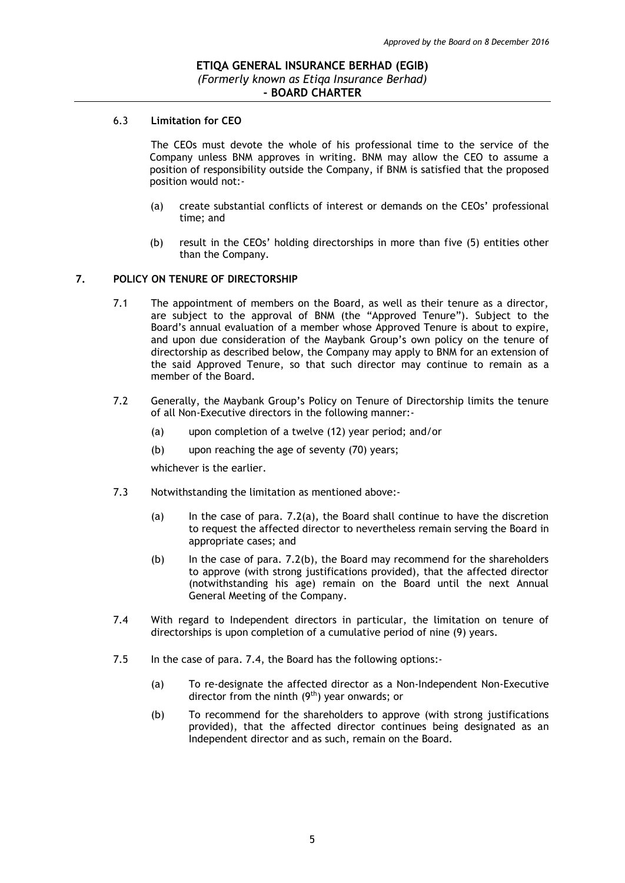#### 6.3 **Limitation for CEO**

The CEOs must devote the whole of his professional time to the service of the Company unless BNM approves in writing. BNM may allow the CEO to assume a position of responsibility outside the Company, if BNM is satisfied that the proposed position would not:-

- (a) create substantial conflicts of interest or demands on the CEOs' professional time; and
- (b) result in the CEOs' holding directorships in more than five (5) entities other than the Company.

#### **7. POLICY ON TENURE OF DIRECTORSHIP**

- 7.1 The appointment of members on the Board, as well as their tenure as a director, are subject to the approval of BNM (the "Approved Tenure"). Subject to the Board's annual evaluation of a member whose Approved Tenure is about to expire, and upon due consideration of the Maybank Group's own policy on the tenure of directorship as described below, the Company may apply to BNM for an extension of the said Approved Tenure, so that such director may continue to remain as a member of the Board.
- 7.2 Generally, the Maybank Group's Policy on Tenure of Directorship limits the tenure of all Non-Executive directors in the following manner:-
	- (a) upon completion of a twelve (12) year period; and/or
	- (b) upon reaching the age of seventy (70) years;

whichever is the earlier.

- 7.3 Notwithstanding the limitation as mentioned above:-
	- (a) In the case of para. 7.2(a), the Board shall continue to have the discretion to request the affected director to nevertheless remain serving the Board in appropriate cases; and
	- (b) In the case of para. 7.2(b), the Board may recommend for the shareholders to approve (with strong justifications provided), that the affected director (notwithstanding his age) remain on the Board until the next Annual General Meeting of the Company.
- 7.4 With regard to Independent directors in particular, the limitation on tenure of directorships is upon completion of a cumulative period of nine (9) years.
- 7.5 In the case of para. 7.4, the Board has the following options:-
	- (a) To re-designate the affected director as a Non-Independent Non-Executive director from the ninth  $(9<sup>th</sup>)$  year onwards; or
	- (b) To recommend for the shareholders to approve (with strong justifications provided), that the affected director continues being designated as an Independent director and as such, remain on the Board.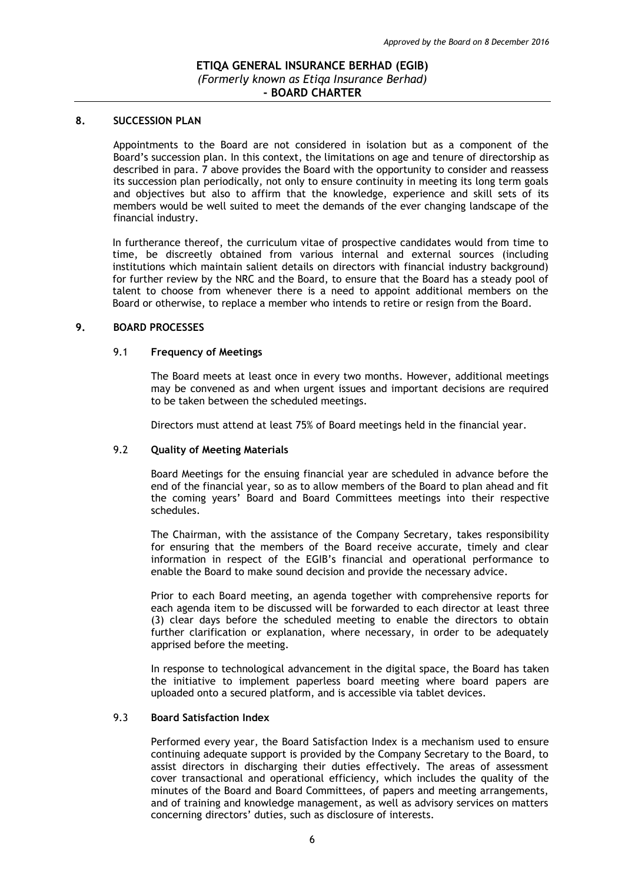### **8. SUCCESSION PLAN**

Appointments to the Board are not considered in isolation but as a component of the Board's succession plan. In this context, the limitations on age and tenure of directorship as described in para. 7 above provides the Board with the opportunity to consider and reassess its succession plan periodically, not only to ensure continuity in meeting its long term goals and objectives but also to affirm that the knowledge, experience and skill sets of its members would be well suited to meet the demands of the ever changing landscape of the financial industry.

In furtherance thereof, the curriculum vitae of prospective candidates would from time to time, be discreetly obtained from various internal and external sources (including institutions which maintain salient details on directors with financial industry background) for further review by the NRC and the Board, to ensure that the Board has a steady pool of talent to choose from whenever there is a need to appoint additional members on the Board or otherwise, to replace a member who intends to retire or resign from the Board.

#### **9. BOARD PROCESSES**

### 9.1 **Frequency of Meetings**

The Board meets at least once in every two months. However, additional meetings may be convened as and when urgent issues and important decisions are required to be taken between the scheduled meetings.

Directors must attend at least 75% of Board meetings held in the financial year.

### 9.2 **Quality of Meeting Materials**

Board Meetings for the ensuing financial year are scheduled in advance before the end of the financial year, so as to allow members of the Board to plan ahead and fit the coming years' Board and Board Committees meetings into their respective schedules.

The Chairman, with the assistance of the Company Secretary, takes responsibility for ensuring that the members of the Board receive accurate, timely and clear information in respect of the EGIB's financial and operational performance to enable the Board to make sound decision and provide the necessary advice.

Prior to each Board meeting, an agenda together with comprehensive reports for each agenda item to be discussed will be forwarded to each director at least three (3) clear days before the scheduled meeting to enable the directors to obtain further clarification or explanation, where necessary, in order to be adequately apprised before the meeting.

In response to technological advancement in the digital space, the Board has taken the initiative to implement paperless board meeting where board papers are uploaded onto a secured platform, and is accessible via tablet devices.

### 9.3 **Board Satisfaction Index**

Performed every year, the Board Satisfaction Index is a mechanism used to ensure continuing adequate support is provided by the Company Secretary to the Board, to assist directors in discharging their duties effectively. The areas of assessment cover transactional and operational efficiency, which includes the quality of the minutes of the Board and Board Committees, of papers and meeting arrangements, and of training and knowledge management, as well as advisory services on matters concerning directors' duties, such as disclosure of interests.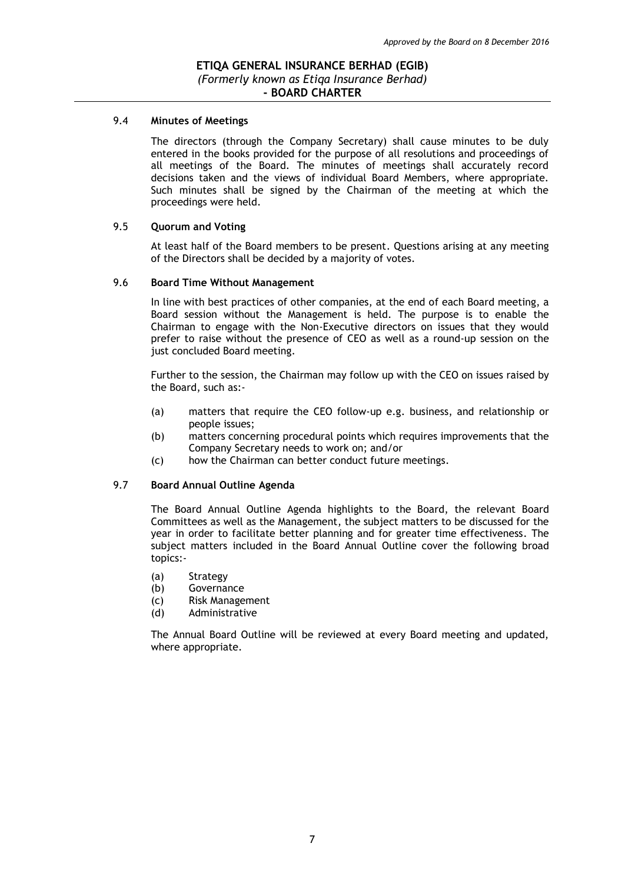#### 9.4 **Minutes of Meetings**

The directors (through the Company Secretary) shall cause minutes to be duly entered in the books provided for the purpose of all resolutions and proceedings of all meetings of the Board. The minutes of meetings shall accurately record decisions taken and the views of individual Board Members, where appropriate. Such minutes shall be signed by the Chairman of the meeting at which the proceedings were held.

#### 9.5 **Quorum and Voting**

At least half of the Board members to be present. Questions arising at any meeting of the Directors shall be decided by a majority of votes.

#### 9.6 **Board Time Without Management**

In line with best practices of other companies, at the end of each Board meeting, a Board session without the Management is held. The purpose is to enable the Chairman to engage with the Non-Executive directors on issues that they would prefer to raise without the presence of CEO as well as a round-up session on the just concluded Board meeting.

Further to the session, the Chairman may follow up with the CEO on issues raised by the Board, such as:-

- (a) matters that require the CEO follow-up e.g. business, and relationship or people issues;
- (b) matters concerning procedural points which requires improvements that the Company Secretary needs to work on; and/or
- (c) how the Chairman can better conduct future meetings.

# 9.7 **Board Annual Outline Agenda**

The Board Annual Outline Agenda highlights to the Board, the relevant Board Committees as well as the Management, the subject matters to be discussed for the year in order to facilitate better planning and for greater time effectiveness. The subject matters included in the Board Annual Outline cover the following broad topics:-

- (a) Strategy
- (b) Governance
- (c) Risk Management
- (d) Administrative

The Annual Board Outline will be reviewed at every Board meeting and updated, where appropriate.